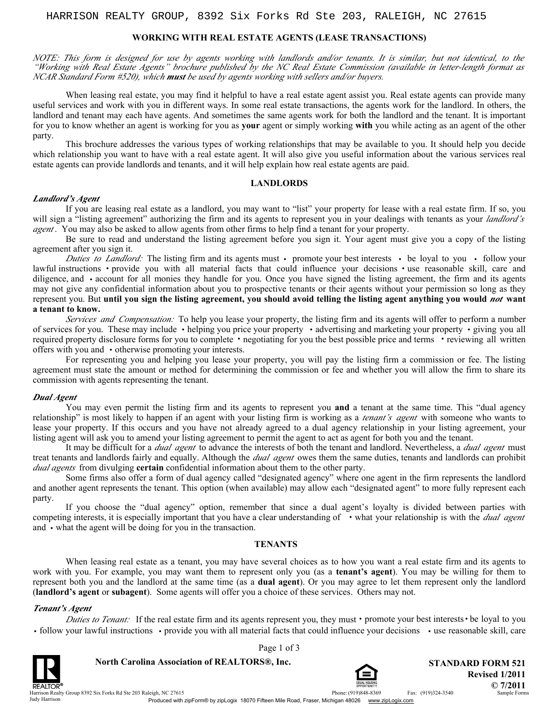## **WORKING WITH REAL ESTATE AGENTS (LEASE TRANSACTIONS)**

*NOTE: This form is designed for use by agents working with landlords and/or tenants. It is similar, but not identical, to the "Working with Real Estate Agents" brochure published by the NC Real Estate Commission (available in letter-length format as NCAR Standard Form #520), which must be used by agents working with sellers and/or buyers.*

When leasing real estate, you may find it helpful to have a real estate agent assist you. Real estate agents can provide many useful services and work with you in different ways. In some real estate transactions, the agents work for the landlord. In others, the landlord and tenant may each have agents. And sometimes the same agents work for both the landlord and the tenant. It is important for you to know whether an agent is working for you as **your** agent or simply working **with** you while acting as an agent of the other party.

This brochure addresses the various types of working relationships that may be available to you. It should help you decide which relationship you want to have with a real estate agent. It will also give you useful information about the various services real estate agents can provide landlords and tenants, and it will help explain how real estate agents are paid.

#### **LANDLORDS**

#### *Landlord's Agent*

If you are leasing real estate as a landlord, you may want to "list" your property for lease with a real estate firm. If so, you will sign a "listing agreement" authorizing the firm and its agents to represent you in your dealings with tenants as your *landlord's agent* . You may also be asked to allow agents from other firms to help find a tenant for your property.

Be sure to read and understand the listing agreement before you sign it. Your agent must give you a copy of the listing agreement after you sign it.

*Duties to Landlord:* The listing firm and its agents must • promote your best interests • be loyal to you • follow your structions • provide you with all material facts that could influence your decisions • use reasonabl lawful instructions  $\cdot$  provide you with all material facts that could influence your decisions  $\cdot$  use reasonable skill, care and diligence, and • account for all monies they handle for you. Once you have signed the listing agreement, the firm and its agents may not give any confidential information about you to prospective tenants or their agents without your permission so long as they represent you. But **until you sign the listing agreement, you should avoid telling the listing agent anything you would** *not* **want a tenant to know.**

*Services and Compensation:* To help you lease your property, the listing firm and its agents will offer to perform a number of services for you. These may include **·** helping you price your property **·** advertising and marketing your property **·** giving you all required property disclosure forms for you to complete **·** negotiating for you the best possible price and terms **·**reviewing all written offers with you and **·** otherwise promoting your interests.

For representing you and helping you lease your property, you will pay the listing firm a commission or fee. The listing agreement must state the amount or method for determining the commission or fee and whether you will allow the firm to share its commission with agents representing the tenant.

#### *Dual Agent*

You may even permit the listing firm and its agents to represent you **and** a tenant at the same time. This "dual agency relationship" is most likely to happen if an agent with your listing firm is working as a *tenant's agent* with someone who wants to lease your property. If this occurs and you have not already agreed to a dual agency relationship in your listing agreement, your listing agent will ask you to amend your listing agreement to permit the agent to act as agent for both you and the tenant.

It may be difficult for a *dual agent* to advance the interests of both the tenant and landlord. Nevertheless, a *dual agent* must treat tenants and landlords fairly and equally. Although the *dual agent* owes them the same duties, tenants and landlords can prohibit *dual agents* from divulging **certain** confidential information about them to the other party.

Some firms also offer a form of dual agency called "designated agency" where one agent in the firm represents the landlord and another agent represents the tenant. This option (when available) may allow each "designated agent" to more fully represent each party.

If you choose the "dual agency" option, remember that since a dual agent's loyalty is divided between parties with competing interests, it is especially important that you have a clear understanding of **·** what your relationship is with the *dual agent* and **·** what the agent will be doing for you in the transaction.

### **TENANTS**

When leasing real estate as a tenant, you may have several choices as to how you want a real estate firm and its agents to work with you. For example, you may want them to represent only you (as a **tenant's agent**). You may be willing for them to represent both you and the landlord at the same time (as a **dual agent**). Or you may agree to let them represent only the landlord (**landlord's agent** or **subagent**). Some agents will offer you a choice of these services. Others may not.

#### *Tenant's Agent*

*Duties to Tenant:* If the real estate firm and its agents represent you, they must**·** promote your best interests**·**be loyal to you • follow your lawful instructions • provide you with all material facts that could influence your decisions • use reasonable skill, care

Page 1 of 3



**North Carolina Association of REALTORS®, Inc. A STANDARD FORM 521** 



Phone: (919)848-8369 Fax: (919)324-3540 **© 7/2011 Revised 1/2011**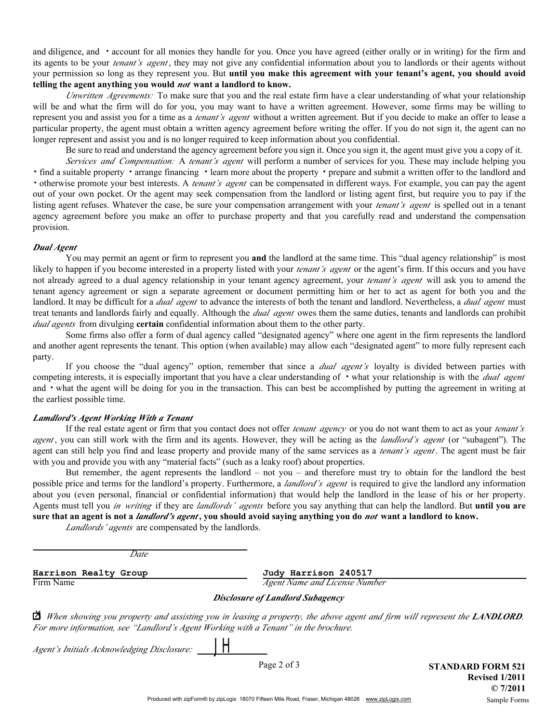its agents to be your *tenant's agent* , they may not give any confidential information about you to landlords or their agents without your permission so long as they represent you. But **until you make this agreement with your tenant's agent, you should avoid telling the agent anything you would** *not* **want a landlord to know.** and diligence, and **·** account for all monies they handle for you. Once you have agreed (either orally or in writing) for the firm and

*Unwritten Agreements:* To make sure that you and the real estate firm have a clear understanding of what your relationship will be and what the firm will do for you, you may want to have a written agreement. However, some firms may be willing to represent you and assist you for a time as a *tenant's agent* without a written agreement. But if you decide to make an offer to lease a particular property, the agent must obtain a written agency agreement before writing the offer. If you do not sign it, the agent can no longer represent and assist you and is no longer required to keep information about you confidential.

Be sure to read and understand the agency agreement before you sign it. Once you sign it, the agent must give you a copy of it.

*Services and Compensation:* A *tenant's agent* will perform a number of services for you. These may include helping you **·**find a suitable property **·** arrange financing **·**learn more about the property **·** prepare and submit a written offer to the landlord and **·** otherwise promote your best interests. A *tenant's agent* can be compensated in different ways. For example, you can pay the agent out of your own pocket. Or the agent may seek compensation from the landlord or listing agent first, but require you to pay if the listing agent refuses. Whatever the case, be sure your compensation arrangement with your *tenant's agent* is spelled out in a tenant agency agreement before you make an offer to purchase property and that you carefully read and understand the compensation provision.

### *Dual Agent*

You may permit an agent or firm to represent you **and** the landlord at the same time. This "dual agency relationship" is most likely to happen if you become interested in a property listed with your *tenant's agent* or the agent's firm. If this occurs and you have not already agreed to a dual agency relationship in your tenant agency agreement, your *tenant's agent* will ask you to amend the tenant agency agreement or sign a separate agreement or document permitting him or her to act as agent for both you and the landlord. It may be difficult for a *dual agent* to advance the interests of both the tenant and landlord. Nevertheless, a *dual agent* must treat tenants and landlords fairly and equally. Although the *dual agent* owes them the same duties, tenants and landlords can prohibit *dual agents* from divulging **certain** confidential information about them to the other party.

Some firms also offer a form of dual agency called "designated agency" where one agent in the firm represents the landlord and another agent represents the tenant. This option (when available) may allow each "designated agent" to more fully represent each party.

If you choose the "dual agency" option, remember that since a *dual agent's* loyalty is divided between parties with competing interests, it is especially important that you have a clear understanding of **·** what your relationship is with the *dual agent* and **·** what the agent will be doing for you in the transaction. This can best be accomplished by putting the agreement in writing at the earliest possible time.

### *Lamdlord's Agent Working With a Tenant*

If the real estate agent or firm that you contact does not offer *tenant agency* or you do not want them to act as your *tenant's agent* , you can still work with the firm and its agents. However, they will be acting as the *landlord's agent* (or "subagent"). The agent can still help you find and lease property and provide many of the same services as a *tenant's agent* . The agent must be fair with you and provide you with any "material facts" (such as a leaky roof) about properties.

But remember, the agent represents the landlord – not you – and therefore must try to obtain for the landlord the best possible price and terms for the landlord's property. Furthermore, a *landlord's agent* is required to give the landlord any information about you (even personal, financial or confidential information) that would help the landlord in the lease of his or her property. Agents must tell you *in writing* if they are *landlords' agents* before you say anything that can help the landlord. But **until you are sure that an agent is not a** *landlord's agent* **, you should avoid saying anything you do** *not* **want a landlord to know.**

*Landlords' agents* are compensated by the landlords.

*Date*

Firm Name *Agent Name and License Number Agent Name and License Number* **Harrison Realty Group Judy Harrison 240517**

# *Disclosure of Landlord Subagency*

 $\bar{\textbf{A}}$  When showing you property and assisting you in leasing a property, the above agent and firm will represent the **LANDLORD**. *For more information, see "Landlord's Agent Working with a Tenant" in the brochure.*

*Agent's Initials Acknowledging Disclosure:*

*JH*

Page 2 of 3 **STANDARD FORM 521 Revised 1/2011 © 7/2011** Sample Forms